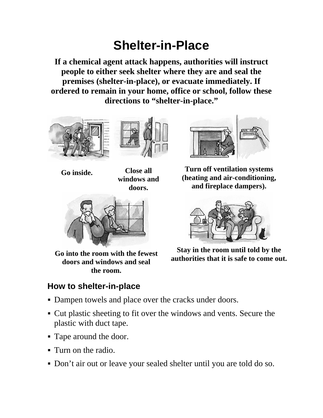## **Shelter-in-Place**

**If a chemical agent attack happens, authorities will instruct people to either seek shelter where they are and seal the premises (shelter-in-place), or evacuate immediately. If ordered to remain in your home, office or school, follow these directions to "shelter-in-place."** 





**Go inside. Close all windows and doors.**



**Go into the room with the fewest doors and windows and seal the room.**

## **How to shelter-in-place**



**Turn off ventilation systems (heating and air-conditioning, and fireplace dampers).**



**Stay in the room until told by the authorities that it is safe to come out.**

- Dampen towels and place over the cracks under doors.
- Cut plastic sheeting to fit over the windows and vents. Secure the plastic with duct tape.
- Tape around the door.
- Turn on the radio.
- Don't air out or leave your sealed shelter until you are told do so.